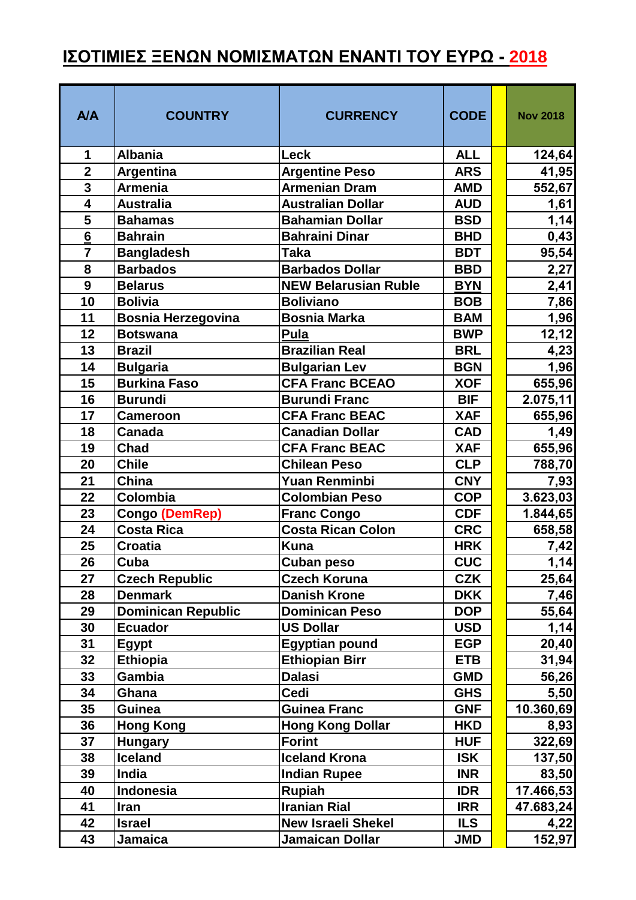## **ΙΣΟΤΙΜΙΕΣ ΞΕΝΩΝ ΝΟΜΙΣΜΑΤΩΝ ΕΝΑΝΤΙ ΤΟΥ ΕΥΡΩ - 2018**

| <b>A/A</b>              | <b>COUNTRY</b>            | <b>CURRENCY</b>             | <b>CODE</b> | <b>Nov 2018</b> |
|-------------------------|---------------------------|-----------------------------|-------------|-----------------|
| 1                       | <b>Albania</b>            | Leck                        | <b>ALL</b>  | 124,64          |
| $\overline{2}$          | <b>Argentina</b>          | <b>Argentine Peso</b>       | <b>ARS</b>  | 41,95           |
| $\overline{3}$          | <b>Armenia</b>            | <b>Armenian Dram</b>        | <b>AMD</b>  | 552,67          |
| $\overline{\mathbf{4}}$ | <b>Australia</b>          | <b>Australian Dollar</b>    | <b>AUD</b>  | 1,61            |
| 5                       | <b>Bahamas</b>            | <b>Bahamian Dollar</b>      | <b>BSD</b>  | 1,14            |
| 6                       | <b>Bahrain</b>            | <b>Bahraini Dinar</b>       | <b>BHD</b>  | 0,43            |
| $\overline{7}$          | <b>Bangladesh</b>         | <b>Taka</b>                 | <b>BDT</b>  | 95,54           |
| 8                       | <b>Barbados</b>           | <b>Barbados Dollar</b>      | <b>BBD</b>  | 2,27            |
| $\boldsymbol{9}$        | <b>Belarus</b>            | <b>NEW Belarusian Ruble</b> | <b>BYN</b>  | 2,41            |
| 10                      | <b>Bolivia</b>            | <b>Boliviano</b>            | <b>BOB</b>  | 7,86            |
| 11                      | <b>Bosnia Herzegovina</b> | <b>Bosnia Marka</b>         | <b>BAM</b>  | 1,96            |
| 12                      | <b>Botswana</b>           | Pula                        | <b>BWP</b>  | 12,12           |
| 13                      | <b>Brazil</b>             | <b>Brazilian Real</b>       | <b>BRL</b>  | 4,23            |
| 14                      | <b>Bulgaria</b>           | <b>Bulgarian Lev</b>        | <b>BGN</b>  | 1,96            |
| 15                      | <b>Burkina Faso</b>       | <b>CFA Franc BCEAO</b>      | <b>XOF</b>  | 655,96          |
| 16                      | <b>Burundi</b>            | <b>Burundi Franc</b>        | <b>BIF</b>  | 2.075,11        |
| 17                      | <b>Cameroon</b>           | <b>CFA Franc BEAC</b>       | <b>XAF</b>  | 655,96          |
| 18                      | <b>Canada</b>             | <b>Canadian Dollar</b>      | <b>CAD</b>  | 1,49            |
| 19                      | <b>Chad</b>               | <b>CFA Franc BEAC</b>       | <b>XAF</b>  | 655,96          |
| 20                      | <b>Chile</b>              | <b>Chilean Peso</b>         | <b>CLP</b>  | 788,70          |
| 21                      | China                     | <b>Yuan Renminbi</b>        | <b>CNY</b>  | 7,93            |
| 22                      | Colombia                  | <b>Colombian Peso</b>       | <b>COP</b>  | 3.623,03        |
| 23                      | Congo (DemRep)            | <b>Franc Congo</b>          | <b>CDF</b>  | 1.844,65        |
| 24                      | <b>Costa Rica</b>         | Costa Rican Colon           | <b>CRC</b>  | 658,58          |
| 25                      | <b>Croatia</b>            | <b>Kuna</b>                 | <b>HRK</b>  | 7,42            |
| 26                      | Cuba                      | Cuban peso                  | <b>CUC</b>  | 1,14            |
| 27                      | <b>Czech Republic</b>     | <b>Czech Koruna</b>         | <b>CZK</b>  | 25,64           |
| 28                      | <b>Denmark</b>            | <b>Danish Krone</b>         | <b>DKK</b>  | 7,46            |
| 29                      | <b>Dominican Republic</b> | <b>Dominican Peso</b>       | <b>DOP</b>  | 55,64           |
| 30                      | <b>Ecuador</b>            | <b>US Dollar</b>            | <b>USD</b>  | 1,14            |
| 31                      | <b>Egypt</b>              | <b>Egyptian pound</b>       | <b>EGP</b>  | 20,40           |
| 32                      | <b>Ethiopia</b>           | <b>Ethiopian Birr</b>       | <b>ETB</b>  | 31,94           |
| 33                      | <b>Gambia</b>             | <b>Dalasi</b>               | <b>GMD</b>  | 56,26           |
| 34                      | Ghana                     | Cedi                        | <b>GHS</b>  | 5,50            |
| 35                      | <b>Guinea</b>             | <b>Guinea Franc</b>         | <b>GNF</b>  | 10.360,69       |
| 36                      | <b>Hong Kong</b>          | <b>Hong Kong Dollar</b>     | <b>HKD</b>  | 8,93            |
| 37                      | <b>Hungary</b>            | <b>Forint</b>               | <b>HUF</b>  | 322,69          |
| 38                      | <b>Iceland</b>            | <b>Iceland Krona</b>        | <b>ISK</b>  | 137,50          |
| 39                      | India                     | <b>Indian Rupee</b>         | <b>INR</b>  | 83,50           |
| 40                      | Indonesia                 | Rupiah                      | <b>IDR</b>  | 17.466,53       |
| 41                      | <b>Iran</b>               | <b>Iranian Rial</b>         | <b>IRR</b>  | 47.683,24       |
| 42                      | <b>Israel</b>             | <b>New Israeli Shekel</b>   | <b>ILS</b>  | 4,22            |
| 43                      | Jamaica                   | Jamaican Dollar             | <b>JMD</b>  | 152,97          |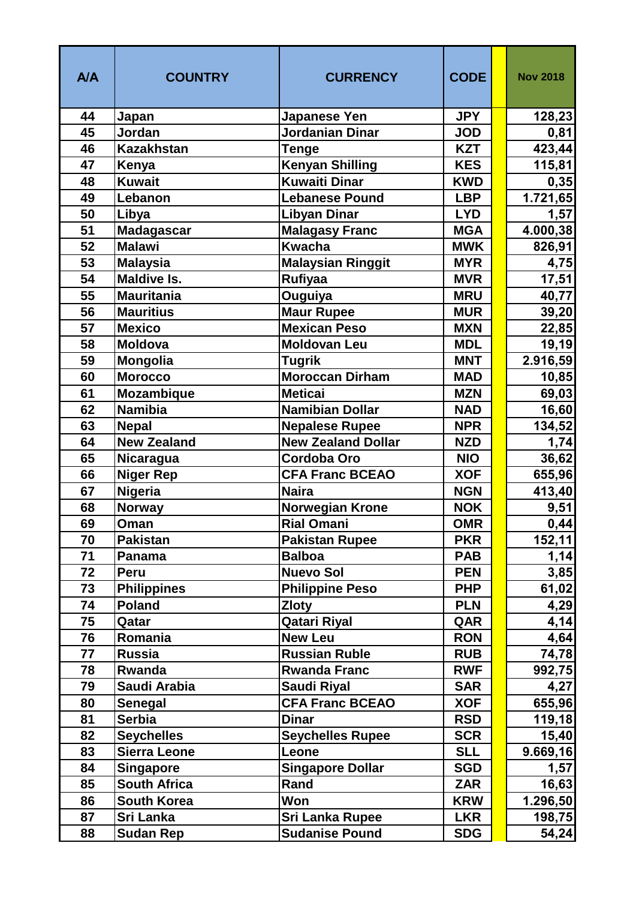| <b>A/A</b> | <b>COUNTRY</b>      | <b>CURRENCY</b>           | <b>CODE</b> | <b>Nov 2018</b> |
|------------|---------------------|---------------------------|-------------|-----------------|
| 44         | Japan               | <b>Japanese Yen</b>       | <b>JPY</b>  | 128,23          |
| 45         | Jordan              | <b>Jordanian Dinar</b>    | <b>JOD</b>  | 0,81            |
| 46         | <b>Kazakhstan</b>   | <b>Tenge</b>              | <b>KZT</b>  | 423,44          |
| 47         | Kenya               | <b>Kenyan Shilling</b>    | <b>KES</b>  | 115,81          |
| 48         | <b>Kuwait</b>       | <b>Kuwaiti Dinar</b>      | <b>KWD</b>  | 0,35            |
| 49         | Lebanon             | <b>Lebanese Pound</b>     | <b>LBP</b>  | 1.721,65        |
| 50         | Libya               | <b>Libyan Dinar</b>       | <b>LYD</b>  | 1,57            |
| 51         | <b>Madagascar</b>   | <b>Malagasy Franc</b>     | <b>MGA</b>  | 4.000,38        |
| 52         | <b>Malawi</b>       | <b>Kwacha</b>             | <b>MWK</b>  | 826,91          |
| 53         | <b>Malaysia</b>     | <b>Malaysian Ringgit</b>  | <b>MYR</b>  | 4,75            |
| 54         | <b>Maldive Is.</b>  | Rufiyaa                   | <b>MVR</b>  | 17,51           |
| 55         | <b>Mauritania</b>   | Ouguiya                   | <b>MRU</b>  | 40,77           |
| 56         | <b>Mauritius</b>    | <b>Maur Rupee</b>         | <b>MUR</b>  | 39,20           |
| 57         | <b>Mexico</b>       | <b>Mexican Peso</b>       | <b>MXN</b>  | 22,85           |
| 58         | <b>Moldova</b>      | <b>Moldovan Leu</b>       | <b>MDL</b>  | 19,19           |
| 59         | <b>Mongolia</b>     | <b>Tugrik</b>             | <b>MNT</b>  | 2.916,59        |
| 60         | <b>Morocco</b>      | Moroccan Dirham           | <b>MAD</b>  | 10,85           |
| 61         | <b>Mozambique</b>   | <b>Meticai</b>            | <b>MZN</b>  | 69,03           |
| 62         | <b>Namibia</b>      | <b>Namibian Dollar</b>    | <b>NAD</b>  | 16,60           |
| 63         | <b>Nepal</b>        | <b>Nepalese Rupee</b>     | <b>NPR</b>  | 134,52          |
| 64         | <b>New Zealand</b>  | <b>New Zealand Dollar</b> | <b>NZD</b>  | 1,74            |
| 65         | Nicaragua           | Cordoba Oro               | <b>NIO</b>  | 36,62           |
| 66         | <b>Niger Rep</b>    | <b>CFA Franc BCEAO</b>    | <b>XOF</b>  | 655,96          |
| 67         | <b>Nigeria</b>      | <b>Naira</b>              | <b>NGN</b>  | 413,40          |
| 68         | <b>Norway</b>       | <b>Norwegian Krone</b>    | <b>NOK</b>  | 9,51            |
| 69         | Oman                | <b>Rial Omani</b>         | <b>OMR</b>  | 0,44            |
| 70         | Pakistan            | <b>Pakistan Rupee</b>     | <b>PKR</b>  | 152,11          |
| 71         | Panama              | <b>Balboa</b>             | <b>PAB</b>  | 1,14            |
| 72         | Peru                | <b>Nuevo Sol</b>          | <b>PEN</b>  | 3,85            |
| 73         | <b>Philippines</b>  | <b>Philippine Peso</b>    | <b>PHP</b>  | 61,02           |
| 74         | <b>Poland</b>       | <b>Zloty</b>              | <b>PLN</b>  | 4,29            |
| 75         | Qatar               | <b>Qatari Riyal</b>       | QAR         | 4,14            |
| 76         | Romania             | <b>New Leu</b>            | <b>RON</b>  | 4,64            |
| 77         | <b>Russia</b>       | <b>Russian Ruble</b>      | <b>RUB</b>  | 74,78           |
| 78         | Rwanda              | <b>Rwanda Franc</b>       | <b>RWF</b>  | 992,75          |
| 79         | Saudi Arabia        | <b>Saudi Riyal</b>        | <b>SAR</b>  | 4,27            |
| 80         | Senegal             | <b>CFA Franc BCEAO</b>    | <b>XOF</b>  | 655,96          |
| 81         | <b>Serbia</b>       | <b>Dinar</b>              | <b>RSD</b>  | 119,18          |
| 82         | <b>Seychelles</b>   | <b>Seychelles Rupee</b>   | <b>SCR</b>  | 15,40           |
| 83         | Sierra Leone        | Leone                     | <b>SLL</b>  | 9.669, 16       |
| 84         | <b>Singapore</b>    | <b>Singapore Dollar</b>   | <b>SGD</b>  | 1,57            |
| 85         | <b>South Africa</b> | Rand                      | <b>ZAR</b>  | 16,63           |
| 86         | <b>South Korea</b>  | Won                       | <b>KRW</b>  | 1.296,50        |
| 87         | Sri Lanka           | <b>Sri Lanka Rupee</b>    | <b>LKR</b>  | 198,75          |
| 88         | <b>Sudan Rep</b>    | <b>Sudanise Pound</b>     | <b>SDG</b>  | 54,24           |